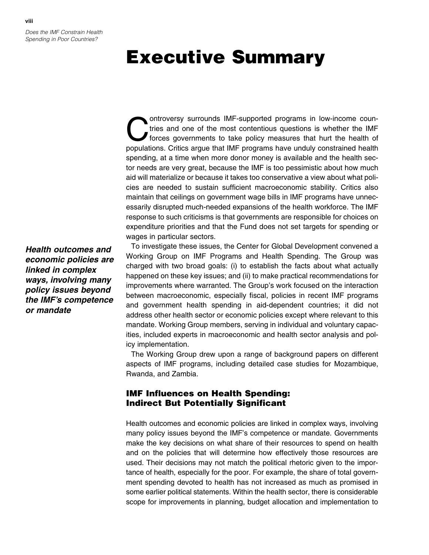# **Executive Summary**

ontroversy surrounds IMF-supported programs in low-income countries and one of the most contentious questions is whether the IMF forces governments to take policy measures that hurt the health of populations. Critics argue tries and one of the most contentious questions is whether the IMF forces governments to take policy measures that hurt the health of populations. Critics argue that IMF programs have unduly constrained health spending, at a time when more donor money is available and the health sector needs are very great, because the IMF is too pessimistic about how much aid will materialize or because it takes too conservative a view about what policies are needed to sustain sufficient macroeconomic stability. Critics also maintain that ceilings on government wage bills in IMF programs have unnecessarily disrupted much-needed expansions of the health workforce. The IMF response to such criticisms is that governments are responsible for choices on expenditure priorities and that the Fund does not set targets for spending or wages in particular sectors.

To investigate these issues, the Center for Global Development convened a Working Group on IMF Programs and Health Spending. The Group was charged with two broad goals: (i) to establish the facts about what actually happened on these key issues; and (ii) to make practical recommendations for improvements where warranted. The Group's work focused on the interaction between macroeconomic, especially fiscal, policies in recent IMF programs and government health spending in aid-dependent countries; it did not address other health sector or economic policies except where relevant to this mandate. Working Group members, serving in individual and voluntary capacities, included experts in macroeconomic and health sector analysis and policy implementation.

The Working Group drew upon a range of background papers on different aspects of IMF programs, including detailed case studies for Mozambique, Rwanda, and Zambia.

## **IMF Influences on Health Spending: Indirect But Potentially Significant**

Health outcomes and economic policies are linked in complex ways, involving many policy issues beyond the IMF's competence or mandate. Governments make the key decisions on what share of their resources to spend on health and on the policies that will determine how effectively those resources are used. Their decisions may not match the political rhetoric given to the importance of health, especially for the poor. For example, the share of total government spending devoted to health has not increased as much as promised in some earlier political statements. Within the health sector, there is considerable scope for improvements in planning, budget allocation and implementation to

*Health outcomes and economic policies are linked in complex ways, involving many policy issues beyond the IMF's competence or mandate*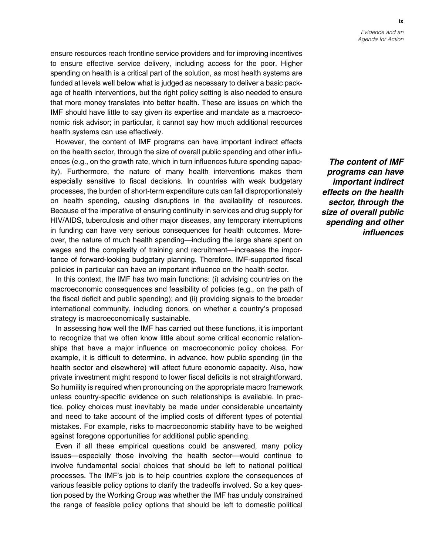ensure resources reach frontline service providers and for improving incentives to ensure effective service delivery, including access for the poor. Higher spending on health is a critical part of the solution, as most health systems are funded at levels well below what is judged as necessary to deliver a basic package of health interventions, but the right policy setting is also needed to ensure that more money translates into better health. These are issues on which the IMF should have little to say given its expertise and mandate as a macroeconomic risk advisor; in particular, it cannot say how much additional resources health systems can use effectively.

However, the content of IMF programs can have important indirect effects on the health sector, through the size of overall public spending and other influences (e.g., on the growth rate, which in turn influences future spending capacity). Furthermore, the nature of many health interventions makes them especially sensitive to fiscal decisions. In countries with weak budgetary processes, the burden of short-term expenditure cuts can fall disproportionately on health spending, causing disruptions in the availability of resources. Because of the imperative of ensuring continuity in services and drug supply for HIV/AIDS, tuberculosis and other major diseases, any temporary interruptions in funding can have very serious consequences for health outcomes. Moreover, the nature of much health spending—including the large share spent on wages and the complexity of training and recruitment—increases the importance of forward-looking budgetary planning. Therefore, IMF-supported fiscal policies in particular can have an important influence on the health sector.

In this context, the IMF has two main functions: (i) advising countries on the macroeconomic consequences and feasibility of policies (e.g., on the path of the fiscal deficit and public spending); and (ii) providing signals to the broader international community, including donors, on whether a country's proposed strategy is macroeconomically sustainable.

In assessing how well the IMF has carried out these functions, it is important to recognize that we often know little about some critical economic relationships that have a major influence on macroeconomic policy choices. For example, it is difficult to determine, in advance, how public spending (in the health sector and elsewhere) will affect future economic capacity. Also, how private investment might respond to lower fiscal deficits is not straightforward. So humility is required when pronouncing on the appropriate macro framework unless country-specific evidence on such relationships is available. In practice, policy choices must inevitably be made under considerable uncertainty and need to take account of the implied costs of different types of potential mistakes. For example, risks to macroeconomic stability have to be weighed against foregone opportunities for additional public spending.

Even if all these empirical questions could be answered, many policy issues—especially those involving the health sector—would continue to involve fundamental social choices that should be left to national political processes. The IMF's job is to help countries explore the consequences of various feasible policy options to clarify the tradeoffs involved. So a key question posed by the Working Group was whether the IMF has unduly constrained the range of feasible policy options that should be left to domestic political

*The content of IMF programs can have important indirect effects on the health sector, through the size of overall public spending and other influences*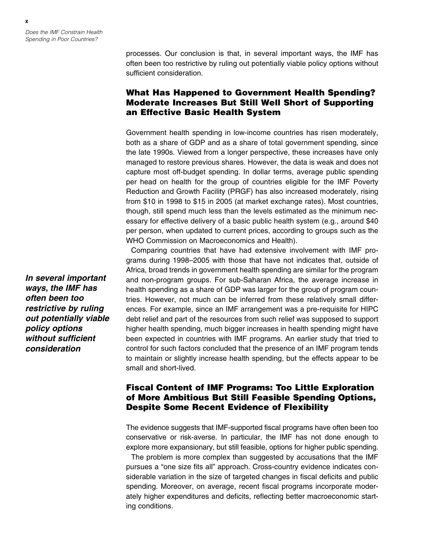processes. Our conclusion is that, in several important ways, the IMF has often been too restrictive by ruling out potentially viable policy options without sufficient consideration.

# **What Has Happened to Government Health Spending? Moderate Increases But Still Well Short of Supporting an Effective Basic Health System**

Government health spending in low-income countries has risen moderately, both as a share of GDP and as a share of total government spending, since the late 1990s. Viewed from a longer perspective, these increases have only managed to restore previous shares. However, the data is weak and does not capture most off-budget spending. In dollar terms, average public spending per head on health for the group of countries eligible for the IMF Poverty Reduction and Growth Facility (PRGF) has also increased moderately, rising from \$10 in 1998 to \$15 in 2005 (at market exchange rates). Most countries, though, still spend much less than the levels estimated as the minimum necessary for effective delivery of a basic public health system (e.g., around \$40 per person, when updated to current prices, according to groups such as the WHO Commission on Macroeconomics and Health).

Comparing countries that have had extensive involvement with IMF programs during 1998–2005 with those that have not indicates that, outside of Africa, broad trends in government health spending are similar for the program and non-program groups. For sub-Saharan Africa, the average increase in health spending as a share of GDP was larger for the group of program countries. However, not much can be inferred from these relatively small differences. For example, since an IMF arrangement was a pre-requisite for HIPC debt relief and part of the resources from such relief was supposed to support higher health spending, much bigger increases in health spending might have been expected in countries with IMF programs. An earlier study that tried to control for such factors concluded that the presence of an IMF program tends to maintain or slightly increase health spending, but the effects appear to be small and short-lived.

## **Fiscal Content of IMF Programs: Too Little Exploration of More Ambitious But Still Feasible Spending Options, Despite Some Recent Evidence of Flexibility**

The evidence suggests that IMF-supported fiscal programs have often been too conservative or risk-averse. In particular, the IMF has not done enough to explore more expansionary, but still feasible, options for higher public spending.

The problem is more complex than suggested by accusations that the IMF pursues a "one size fits all" approach. Cross-country evidence indicates considerable variation in the size of targeted changes in fiscal deficits and public spending. Moreover, on average, recent fiscal programs incorporate moderately higher expenditures and deficits, reflecting better macroeconomic starting conditions.

*In several important ways, the IMF has often been too restrictive by ruling out potentially viable policy options without sufficient consideration*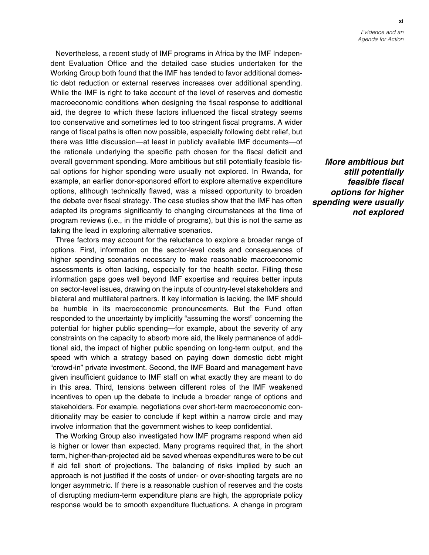*Evidence and an Agenda for Action*

Nevertheless, a recent study of IMF programs in Africa by the IMF Independent Evaluation Office and the detailed case studies undertaken for the Working Group both found that the IMF has tended to favor additional domestic debt reduction or external reserves increases over additional spending. While the IMF is right to take account of the level of reserves and domestic macroeconomic conditions when designing the fiscal response to additional aid, the degree to which these factors influenced the fiscal strategy seems too conservative and sometimes led to too stringent fiscal programs. A wider range of fiscal paths is often now possible, especially following debt relief, but there was little discussion—at least in publicly available IMF documents—of the rationale underlying the specific path chosen for the fiscal deficit and overall government spending. More ambitious but still potentially feasible fiscal options for higher spending were usually not explored. In Rwanda, for example, an earlier donor-sponsored effort to explore alternative expenditure options, although technically flawed, was a missed opportunity to broaden the debate over fiscal strategy. The case studies show that the IMF has often adapted its programs significantly to changing circumstances at the time of program reviews (i.e., in the middle of programs), but this is not the same as taking the lead in exploring alternative scenarios.

Three factors may account for the reluctance to explore a broader range of options. First, information on the sector-level costs and consequences of higher spending scenarios necessary to make reasonable macroeconomic assessments is often lacking, especially for the health sector. Filling these information gaps goes well beyond IMF expertise and requires better inputs on sector-level issues, drawing on the inputs of country-level stakeholders and bilateral and multilateral partners. If key information is lacking, the IMF should be humble in its macroeconomic pronouncements. But the Fund often responded to the uncertainty by implicitly "assuming the worst" concerning the potential for higher public spending—for example, about the severity of any constraints on the capacity to absorb more aid, the likely permanence of additional aid, the impact of higher public spending on long-term output, and the speed with which a strategy based on paying down domestic debt might "crowd-in" private investment. Second, the IMF Board and management have given insufficient guidance to IMF staff on what exactly they are meant to do in this area. Third, tensions between different roles of the IMF weakened incentives to open up the debate to include a broader range of options and stakeholders. For example, negotiations over short-term macroeconomic conditionality may be easier to conclude if kept within a narrow circle and may involve information that the government wishes to keep confidential.

The Working Group also investigated how IMF programs respond when aid is higher or lower than expected. Many programs required that, in the short term, higher-than-projected aid be saved whereas expenditures were to be cut if aid fell short of projections. The balancing of risks implied by such an approach is not justified if the costs of under- or over-shooting targets are no longer asymmetric. If there is a reasonable cushion of reserves and the costs of disrupting medium-term expenditure plans are high, the appropriate policy response would be to smooth expenditure fluctuations. A change in program

*More ambitious but still potentially feasible fiscal options for higher spending were usually not explored*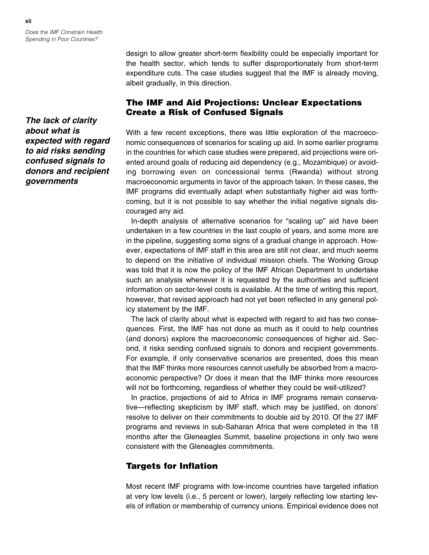**xii**

*The lack of clarity about what is expected with regard to aid risks sending confused signals to donors and recipient governments* 

design to allow greater short-term flexibility could be especially important for the health sector, which tends to suffer disproportionately from short-term expenditure cuts. The case studies suggest that the IMF is already moving, albeit gradually, in this direction.

## **The IMF and Aid Projections: Unclear Expectations Create a Risk of Confused Signals**

With a few recent exceptions, there was little exploration of the macroeconomic consequences of scenarios for scaling up aid. In some earlier programs in the countries for which case studies were prepared, aid projections were oriented around goals of reducing aid dependency (e.g., Mozambique) or avoiding borrowing even on concessional terms (Rwanda) without strong macroeconomic arguments in favor of the approach taken. In these cases, the IMF programs did eventually adapt when substantially higher aid was forthcoming, but it is not possible to say whether the initial negative signals discouraged any aid.

In-depth analysis of alternative scenarios for "scaling up" aid have been undertaken in a few countries in the last couple of years, and some more are in the pipeline, suggesting some signs of a gradual change in approach. However, expectations of IMF staff in this area are still not clear, and much seems to depend on the initiative of individual mission chiefs. The Working Group was told that it is now the policy of the IMF African Department to undertake such an analysis whenever it is requested by the authorities and sufficient information on sector-level costs is available. At the time of writing this report, however, that revised approach had not yet been reflected in any general policy statement by the IMF.

The lack of clarity about what is expected with regard to aid has two consequences. First, the IMF has not done as much as it could to help countries (and donors) explore the macroeconomic consequences of higher aid. Second, it risks sending confused signals to donors and recipient governments. For example, if only conservative scenarios are presented, does this mean that the IMF thinks more resources cannot usefully be absorbed from a macroeconomic perspective? Or does it mean that the IMF thinks more resources will not be forthcoming, regardless of whether they could be well-utilized?

In practice, projections of aid to Africa in IMF programs remain conservative—reflecting skepticism by IMF staff, which may be justified, on donors' resolve to deliver on their commitments to double aid by 2010. Of the 27 IMF programs and reviews in sub-Saharan Africa that were completed in the 18 months after the Gleneagles Summit, baseline projections in only two were consistent with the Gleneagles commitments.

# **Targets for Inflation**

Most recent IMF programs with low-income countries have targeted inflation at very low levels (i.e., 5 percent or lower), largely reflecting low starting levels of inflation or membership of currency unions. Empirical evidence does not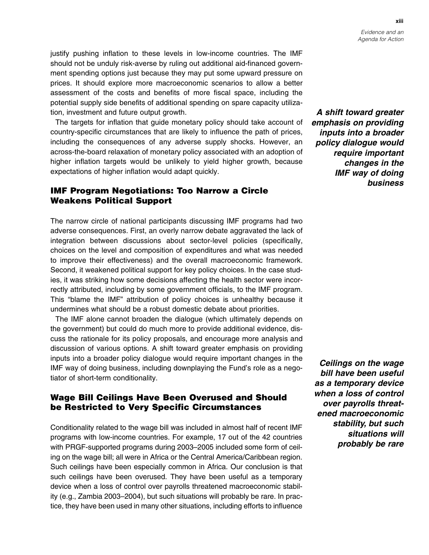*Evidence and an Agenda for Action*

justify pushing inflation to these levels in low-income countries. The IMF should not be unduly risk-averse by ruling out additional aid-financed government spending options just because they may put some upward pressure on prices. It should explore more macroeconomic scenarios to allow a better assessment of the costs and benefits of more fiscal space, including the potential supply side benefits of additional spending on spare capacity utilization, investment and future output growth.

The targets for inflation that guide monetary policy should take account of country-specific circumstances that are likely to influence the path of prices, including the consequences of any adverse supply shocks. However, an across-the-board relaxation of monetary policy associated with an adoption of higher inflation targets would be unlikely to yield higher growth, because expectations of higher inflation would adapt quickly.

#### **IMF Program Negotiations: Too Narrow a Circle Weakens Political Support**

The narrow circle of national participants discussing IMF programs had two adverse consequences. First, an overly narrow debate aggravated the lack of integration between discussions about sector-level policies (specifically, choices on the level and composition of expenditures and what was needed to improve their effectiveness) and the overall macroeconomic framework. Second, it weakened political support for key policy choices. In the case studies, it was striking how some decisions affecting the health sector were incorrectly attributed, including by some government officials, to the IMF program. This "blame the IMF" attribution of policy choices is unhealthy because it undermines what should be a robust domestic debate about priorities.

The IMF alone cannot broaden the dialogue (which ultimately depends on the government) but could do much more to provide additional evidence, discuss the rationale for its policy proposals, and encourage more analysis and discussion of various options. A shift toward greater emphasis on providing inputs into a broader policy dialogue would require important changes in the IMF way of doing business, including downplaying the Fund's role as a negotiator of short-term conditionality.

#### **Wage Bill Ceilings Have Been Overused and Should be Restricted to Very Specific Circumstances**

Conditionality related to the wage bill was included in almost half of recent IMF programs with low-income countries. For example, 17 out of the 42 countries with PRGF-supported programs during 2003–2005 included some form of ceiling on the wage bill; all were in Africa or the Central America/Caribbean region. Such ceilings have been especially common in Africa. Our conclusion is that such ceilings have been overused. They have been useful as a temporary device when a loss of control over payrolls threatened macroeconomic stability (e.g., Zambia 2003–2004), but such situations will probably be rare. In practice, they have been used in many other situations, including efforts to influence

*A shift toward greater emphasis on providing inputs into a broader policy dialogue would require important changes in the IMF way of doing business*

*Ceilings on the wage bill have been useful as a temporary device when a loss of control over payrolls threatened macroeconomic stability, but such situations will probably be rare*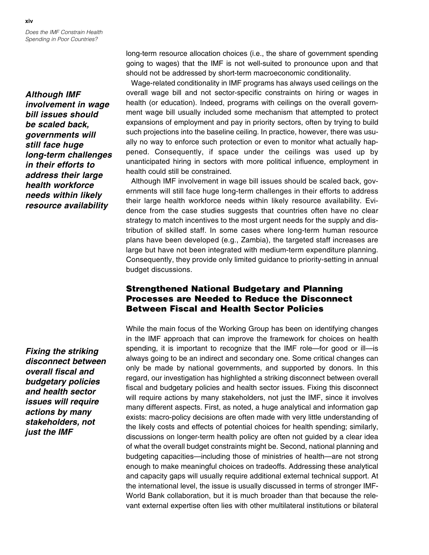*Does the IMF Constrain Health Spending in Poor Countries?*

*Although IMF involvement in wage bill issues should be scaled back, governments will still face huge long-term challenges in their efforts to address their large health workforce needs within likely resource availability* 

*Fixing the striking disconnect between overall fiscal and budgetary policies and health sector issues will require actions by many stakeholders, not just the IMF*

long-term resource allocation choices (i.e., the share of government spending going to wages) that the IMF is not well-suited to pronounce upon and that should not be addressed by short-term macroeconomic conditionality.

Wage-related conditionality in IMF programs has always used ceilings on the overall wage bill and not sector-specific constraints on hiring or wages in health (or education). Indeed, programs with ceilings on the overall government wage bill usually included some mechanism that attempted to protect expansions of employment and pay in priority sectors, often by trying to build such projections into the baseline ceiling. In practice, however, there was usually no way to enforce such protection or even to monitor what actually happened. Consequently, if space under the ceilings was used up by unanticipated hiring in sectors with more political influence, employment in health could still be constrained.

Although IMF involvement in wage bill issues should be scaled back, governments will still face huge long-term challenges in their efforts to address their large health workforce needs within likely resource availability. Evidence from the case studies suggests that countries often have no clear strategy to match incentives to the most urgent needs for the supply and distribution of skilled staff. In some cases where long-term human resource plans have been developed (e.g., Zambia), the targeted staff increases are large but have not been integrated with medium-term expenditure planning. Consequently, they provide only limited guidance to priority-setting in annual budget discussions.

## **Strengthened National Budgetary and Planning Processes are Needed to Reduce the Disconnect Between Fiscal and Health Sector Policies**

While the main focus of the Working Group has been on identifying changes in the IMF approach that can improve the framework for choices on health spending, it is important to recognize that the IMF role—for good or ill—is always going to be an indirect and secondary one. Some critical changes can only be made by national governments, and supported by donors. In this regard, our investigation has highlighted a striking disconnect between overall fiscal and budgetary policies and health sector issues. Fixing this disconnect will require actions by many stakeholders, not just the IMF, since it involves many different aspects. First, as noted, a huge analytical and information gap exists: macro-policy decisions are often made with very little understanding of the likely costs and effects of potential choices for health spending; similarly, discussions on longer-term health policy are often not guided by a clear idea of what the overall budget constraints might be. Second, national planning and budgeting capacities—including those of ministries of health—are not strong enough to make meaningful choices on tradeoffs. Addressing these analytical and capacity gaps will usually require additional external technical support. At the international level, the issue is usually discussed in terms of stronger IMF-World Bank collaboration, but it is much broader than that because the relevant external expertise often lies with other multilateral institutions or bilateral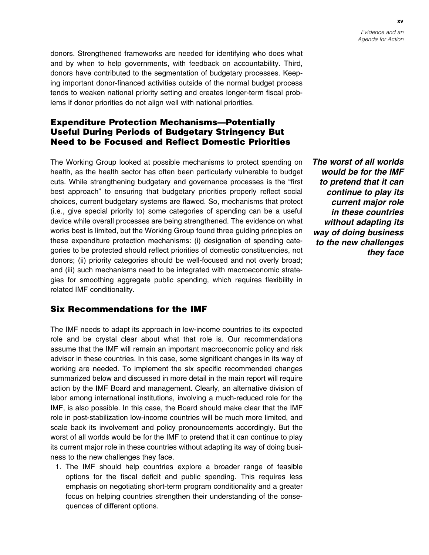donors. Strengthened frameworks are needed for identifying who does what and by when to help governments, with feedback on accountability. Third, donors have contributed to the segmentation of budgetary processes. Keeping important donor-financed activities outside of the normal budget process tends to weaken national priority setting and creates longer-term fiscal problems if donor priorities do not align well with national priorities.

#### **Expenditure Protection Mechanisms—Potentially Useful During Periods of Budgetary Stringency But Need to be Focused and Reflect Domestic Priorities**

The Working Group looked at possible mechanisms to protect spending on health, as the health sector has often been particularly vulnerable to budget cuts. While strengthening budgetary and governance processes is the "first best approach" to ensuring that budgetary priorities properly reflect social choices, current budgetary systems are flawed. So, mechanisms that protect (i.e., give special priority to) some categories of spending can be a useful device while overall processes are being strengthened. The evidence on what works best is limited, but the Working Group found three guiding principles on these expenditure protection mechanisms: (i) designation of spending categories to be protected should reflect priorities of domestic constituencies, not donors; (ii) priority categories should be well-focused and not overly broad; and (iii) such mechanisms need to be integrated with macroeconomic strategies for smoothing aggregate public spending, which requires flexibility in related IMF conditionality.

#### **Six Recommendations for the IMF**

The IMF needs to adapt its approach in low-income countries to its expected role and be crystal clear about what that role is. Our recommendations assume that the IMF will remain an important macroeconomic policy and risk advisor in these countries. In this case, some significant changes in its way of working are needed. To implement the six specific recommended changes summarized below and discussed in more detail in the main report will require action by the IMF Board and management. Clearly, an alternative division of labor among international institutions, involving a much-reduced role for the IMF, is also possible. In this case, the Board should make clear that the IMF role in post-stabilization low-income countries will be much more limited, and scale back its involvement and policy pronouncements accordingly. But the worst of all worlds would be for the IMF to pretend that it can continue to play its current major role in these countries without adapting its way of doing business to the new challenges they face.

1. The IMF should help countries explore a broader range of feasible options for the fiscal deficit and public spending. This requires less emphasis on negotiating short-term program conditionality and a greater focus on helping countries strengthen their understanding of the consequences of different options.

*The worst of all worlds would be for the IMF to pretend that it can continue to play its current major role in these countries without adapting its way of doing business to the new challenges they face*